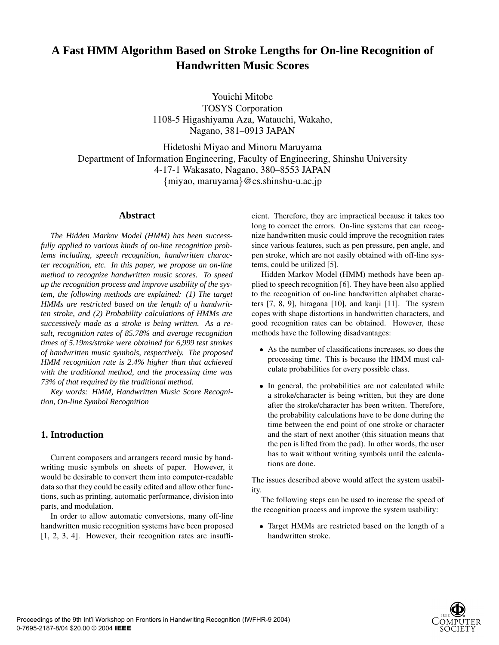# **A Fast HMM Algorithm Based on Stroke Lengths for On-line Recognition of Handwritten Music Scores**

Youichi Mitobe TOSYS Corporation 1108-5 Higashiyama Aza, Watauchi, Wakaho, Nagano, 381–0913 JAPAN

Hidetoshi Miyao and Minoru Maruyama Department of Information Engineering, Faculty of Engineering, Shinshu University 4-17-1 Wakasato, Nagano, 380–8553 JAPAN miyao, maruyama@cs.shinshu-u.ac.jp

## **Abstract**

*The Hidden Markov Model (HMM) has been successfully applied to various kinds of on-line recognition problems including, speech recognition, handwritten character recognition, etc. In this paper, we propose an on-line method to recognize handwritten music scores. To speed up the recognition process and improve usability of the system, the following methods are explained: (1) The target HMMs are restricted based on the length of a handwritten stroke, and (2) Probability calculations of HMMs are successively made as a stroke is being written. As a result, recognition rates of 85.78% and average recognition times of 5.19ms/stroke were obtained for 6,999 test strokes of handwritten music symbols, respectively. The proposed HMM recognition rate is 2.4% higher than that achieved with the traditional method, and the processing time was 73% of that required by the traditional method.*

*Key words: HMM, Handwritten Music Score Recognition, On-line Symbol Recognition*

## **1. Introduction**

Current composers and arrangers record music by handwriting music symbols on sheets of paper. However, it would be desirable to convert them into computer-readable data so that they could be easily edited and allow other functions, such as printing, automatic performance, division into parts, and modulation.

In order to allow automatic conversions, many off-line handwritten music recognition systems have been proposed [1, 2, 3, 4]. However, their recognition rates are insuffi-

cient. Therefore, they are impractical because it takes too long to correct the errors. On-line systems that can recognize handwritten music could improve the recognition rates since various features, such as pen pressure, pen angle, and pen stroke, which are not easily obtained with off-line systems, could be utilized [5].

Hidden Markov Model (HMM) methods have been applied to speech recognition [6]. They have been also applied to the recognition of on-line handwritten alphabet characters [7, 8, 9], hiragana [10], and kanji [11]. The system copes with shape distortions in handwritten characters, and good recognition rates can be obtained. However, these methods have the following disadvantages:

- As the number of classifications increases, so does the processing time. This is because the HMM must calculate probabilities for every possible class.
- In general, the probabilities are not calculated while a stroke/character is being written, but they are done after the stroke/character has been written. Therefore, the probability calculations have to be done during the time between the end point of one stroke or character and the start of next another (this situation means that the pen is lifted from the pad). In other words, the user has to wait without writing symbols until the calculations are done.

The issues described above would affect the system usability.

The following steps can be used to increase the speed of the recognition process and improve the system usability:

 Target HMMs are restricted based on the length of a handwritten stroke.

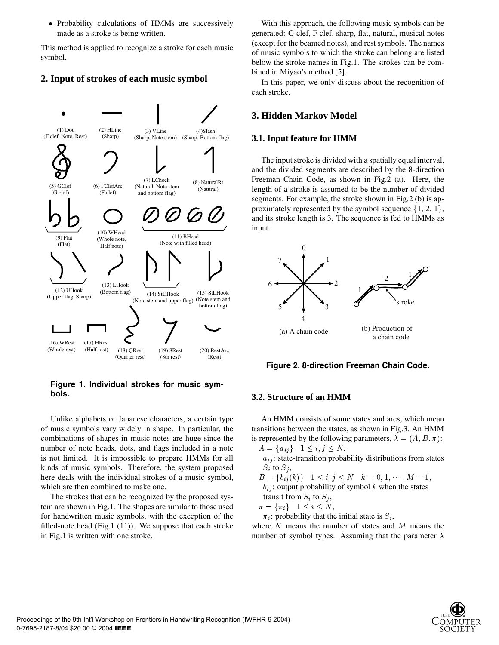• Probability calculations of HMMs are successively made as a stroke is being written.

This method is applied to recognize a stroke for each music symbol.





**Figure 1. Individual strokes for music symbols.**

Unlike alphabets or Japanese characters, a certain type of music symbols vary widely in shape. In particular, the combinations of shapes in music notes are huge since the number of note heads, dots, and flags included in a note is not limited. It is impossible to prepare HMMs for all kinds of music symbols. Therefore, the system proposed here deals with the individual strokes of a music symbol, which are then combined to make one.

The strokes that can be recognized by the proposed system are shown in Fig.1. The shapes are similar to those used for handwritten music symbols, with the exception of the filled-note head (Fig.1  $(11)$ ). We suppose that each stroke in Fig.1 is written with one stroke.

With this approach, the following music symbols can be generated: G clef, F clef, sharp, flat, natural, musical notes (except for the beamed notes), and rest symbols. The names of music symbols to which the stroke can belong are listed below the stroke names in Fig.1. The strokes can be combined in Miyao's method [5].

In this paper, we only discuss about the recognition of each stroke.

## **3. Hidden Markov Model**

#### **3.1. Input feature for HMM**

The input stroke is divided with a spatially equal interval, and the divided segments are described by the 8-direction Freeman Chain Code, as shown in Fig.2 (a). Here, the length of a stroke is assumed to be the number of divided segments. For example, the stroke shown in Fig.2 (b) is approximately represented by the symbol sequence  $\{1, 2, 1\}$ , and its stroke length is 3. The sequence is fed to HMMs as input.



**Figure 2. 8-direction Freeman Chain Code.**

#### **3.2. Structure of an HMM**

An HMM consists of some states and arcs, which mean transitions between the states, as shown in Fig.3. An HMM is represented by the following parameters,  $\lambda = (A, B, \pi)$ :

 $a_{ij}$ : state-transition probability distributions from states  $S_i$  to  $S_j$ ,

 $\mathcal{L} = \{ \begin{bmatrix} \mathcal{L}_{\mathcal{I}} & \mathcal{L}_{\mathcal{I}} & \mathcal{L}_{\mathcal{I}} & \mathcal{L}_{\mathcal{I}} & \mathcal{L}_{\mathcal{I}} & \mathcal{L}_{\mathcal{I}} & \mathcal{L}_{\mathcal{I}} & \mathcal{L}_{\mathcal{I}} & \mathcal{L}_{\mathcal{I}} & \mathcal{L}_{\mathcal{I}} & \mathcal{L}_{\mathcal{I}} & \mathcal{L}_{\mathcal{I}} & \mathcal{L}_{\mathcal{I}} & \mathcal{L}_{\mathcal{I}} & \mathcal{L}_{\mathcal{I}} & \mathcal{L}_{\mathcal{$  $b_{ij}$ : output probability of symbol k when the states transit from  $S_i$  to  $S_j$ ,

$$
\pi = \{\pi_i\} \quad 1 \leq i \leq N,
$$

 $\pi_i$ : probability that the initial state is  $S_i$ ,

 $-\frac{1}{2}$   $-\frac{1}{2}$   $-\frac{1}{2}$   $-$ 

where  $N$  means the number of states and  $M$  means the number of symbol types. Assuming that the parameter  $\lambda$ 

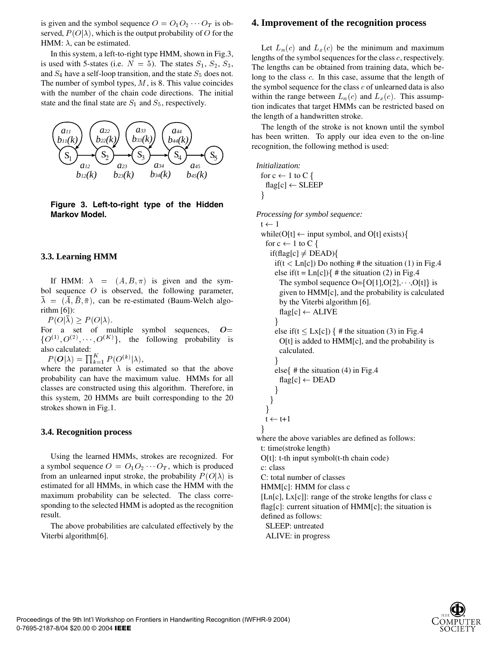is given and the symbol sequence  $O = O_1 O_2 \cdots O_T$  is observed,  $P(O|\lambda)$ , which is the output probability of O for the HMM:  $\lambda$ , can be estimated.

In this system, a left-to-right type HMM, shown in Fig.3, is used with 5-states (i.e.  $N = 5$ ). The states  $S_1, S_2, S_3$ , and  $S_4$  have a self-loop transition, and the state  $S_5$  does not. The number of symbol types,  $M$ , is 8. This value coincides with the number of the chain code directions. The initial state and the final state are  $S_1$  and  $S_5$ , respectively.



**Figure 3. Left-to-right type of the Hidden Markov Model.**

#### **3.3. Learning HMM**

If HMM:  $\lambda = (A, B, \pi)$  is given and the symbol sequence  $O$  is observed, the following parameter,  $\lambda = (A, B, \overline{\pi})$ , can be re-estimated (Baum-Welch algorithm [6]):

 $P(O|\lambda) \geq P(O|\lambda).$ 

For a set of multiple symbol sequences,  $O=$  $\{O^{(1)}, O^{(2)}, \cdots, O^{(K)}\}$ , the following probability is also calculated:

 $P(\boldsymbol{O}|\lambda) = \prod_{k=1}^{\mathbf{R}} P(O^{(k)}|\lambda),$ 

where the parameter  $\lambda$  is estimated so that the above probability can have the maximum value. HMMs for all classes are constructed using this algorithm. Therefore, in this system, 20 HMMs are built corresponding to the 20 strokes shown in Fig.1.

#### **3.4. Recognition process**

Using the learned HMMs, strokes are recognized. For a symbol sequence  $O = O_1 O_2 \cdots O_T$ , which is produced from an unlearned input stroke, the probability  $P(O|\lambda)$  is estimated for all HMMs, in which case the HMM with the maximum probability can be selected. The class corresponding to the selected HMM is adopted as the recognition result.

The above probabilities are calculated effectively by the Viterbi algorithm[6].

#### **4. Improvement of the recognition process**

Let  $L_n(c)$  and  $L_n(c)$  be the minimum and maximum lengths of the symbol sequences for the class  $c$ , respectively. The lengths can be obtained from training data, which belong to the class  $c$ . In this case, assume that the length of the symbol sequence for the class  $c$  of unlearned data is also within the range between  $L_n(c)$  and  $L_x(c)$ . This assumption indicates that target HMMs can be restricted based on the length of a handwritten stroke.

The length of the stroke is not known until the symbol has been written. To apply our idea even to the on-line recognition, the following method is used:

*Initialization:* for  $c \leftarrow 1$  to C {

c: class

J

C: total number of classes HMM[c]: HMM for class c

defined as follows: SLEEP: untreated ALIVE: in progress

 $flag[c] \leftarrow SLEEP$  $\left\{ \right\}$ 

*Processing for symbol sequence:*  $t \leftarrow 1$ while(O[t]  $\leftarrow$  input symbol, and O[t] exists){ for  $c \leftarrow 1$  to  $C \{$ if(flag[c]  $\neq$  DEAD){ if(t  $\lt$  Ln[c]) Do nothing # the situation (1) in Fig.4 else if(t = Ln[c]) $\{$  # the situation (2) in Fig.4 The symbol sequence  $O = \{O[1], O[2], \dots, O[t]\}$  is given to HMM[c], and the probability is calculated by the Viterbi algorithm [6].  $flag[c] \leftarrow ALIVE$ else if(t  $\leq$  Lx[c])  $\{ \#$  the situation (3) in Fig.4 O[t] is added to HMM[c], and the probability is calculated. else  $\{ \#$  the situation (4) in Fig.4  $flag[c] \leftarrow DEAD$ -- $\mathcal{F}$  $t \leftarrow t+1$ where the above variables are defined as follows: t: time(stroke length) O[t]: t-th input symbol(t-th chain code)

[Ln[c], Lx[c]]: range of the stroke lengths for class c flag[c]: current situation of HMM[c]; the situation is

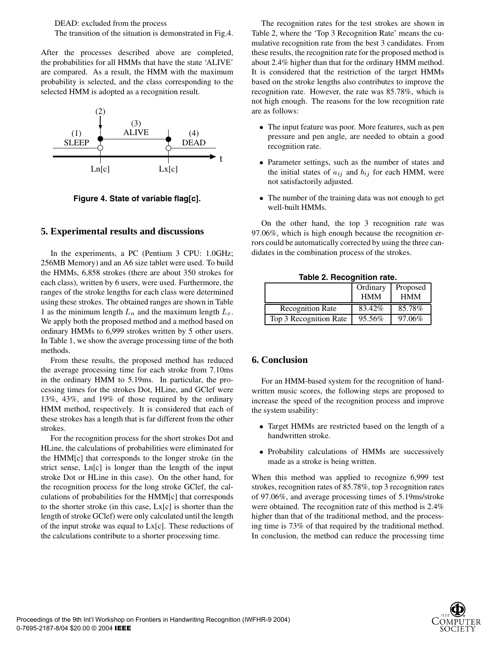DEAD: excluded from the process

The transition of the situation is demonstrated in Fig.4.

After the processes described above are completed, the probabilities for all HMMs that have the state 'ALIVE' are compared. As a result, the HMM with the maximum probability is selected, and the class corresponding to the selected HMM is adopted as a recognition result.



**Figure 4. State of variable flag[c].**

## **5. Experimental results and discussions**

In the experiments, a PC (Pentium 3 CPU: 1.0GHz; 256MB Memory) and an A6 size tablet were used. To build the HMMs, 6,858 strokes (there are about 350 strokes for each class), written by 6 users, were used. Furthermore, the ranges of the stroke lengths for each class were determined using these strokes. The obtained ranges are shown in Table 1 as the minimum length  $L_n$  and the maximum length  $L_x$ . We apply both the proposed method and a method based on ordinary HMMs to 6,999 strokes written by 5 other users. In Table 1, we show the average processing time of the both methods.

From these results, the proposed method has reduced the average processing time for each stroke from 7.10ms in the ordinary HMM to 5.19ms. In particular, the processing times for the strokes Dot, HLine, and GClef were 13%, 43%, and 19% of those required by the ordinary HMM method, respectively. It is considered that each of these strokes has a length that is far different from the other strokes.

For the recognition process for the short strokes Dot and HLine, the calculations of probabilities were eliminated for the HMM[c] that corresponds to the longer stroke (in the strict sense, Ln[c] is longer than the length of the input stroke Dot or HLine in this case). On the other hand, for the recognition process for the long stroke GClef, the calculations of probabilities for the HMM[c] that corresponds to the shorter stroke (in this case, Lx[c] is shorter than the length of stroke GClef) were only calculated until the length of the input stroke was equal to Lx[c]. These reductions of the calculations contribute to a shorter processing time.

The recognition rates for the test strokes are shown in Table 2, where the 'Top 3 Recognition Rate' means the cumulative recognition rate from the best 3 candidates. From these results, the recognition rate for the proposed method is about 2.4% higher than that for the ordinary HMM method. It is considered that the restriction of the target HMMs based on the stroke lengths also contributes to improve the recognition rate. However, the rate was 85.78%, which is not high enough. The reasons for the low recognition rate are as follows:

- The input feature was poor. More features, such as pen pressure and pen angle, are needed to obtain a good recognition rate.
- Parameter settings, such as the number of states and the initial states of  $a_{ij}$  and  $b_{ij}$  for each HMM, were not satisfactorily adjusted.
- The number of the training data was not enough to get well-built HMMs.

On the other hand, the top 3 recognition rate was 97.06%, which is high enough because the recognition errors could be automatically corrected by using the three candidates in the combination process of the strokes.

|                         | Ordinary   | Proposed   |  |  |  |
|-------------------------|------------|------------|--|--|--|
|                         | <b>HMM</b> | <b>HMM</b> |  |  |  |
| <b>Recognition Rate</b> | 83.42%     | 85.78%     |  |  |  |
| Top 3 Recognition Rate  | 95.56%     | 97.06%     |  |  |  |

**Table 2. Recognition rate.**

## **6. Conclusion**

For an HMM-based system for the recognition of handwritten music scores, the following steps are proposed to increase the speed of the recognition process and improve the system usability:

- Target HMMs are restricted based on the length of a handwritten stroke.
- Probability calculations of HMMs are successively made as a stroke is being written.

When this method was applied to recognize 6,999 test strokes, recognition rates of 85.78%, top 3 recognition rates of 97.06%, and average processing times of 5.19ms/stroke were obtained. The recognition rate of this method is 2.4% higher than that of the traditional method, and the processing time is 73% of that required by the traditional method. In conclusion, the method can reduce the processing time

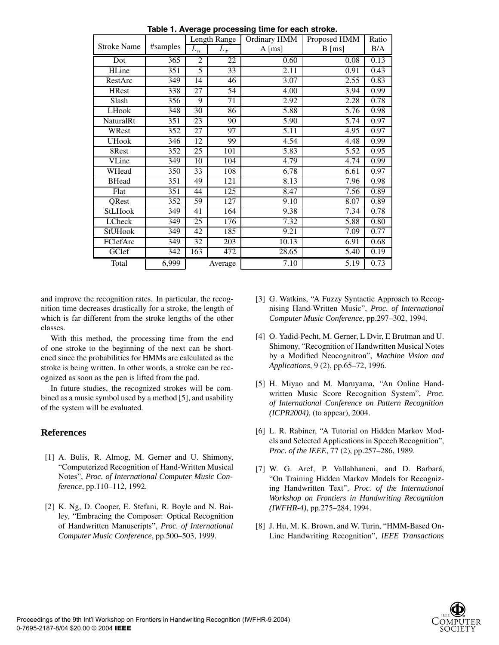| <b>Stroke Name</b> | #samples | Length Range    |             | Ordinary HMM | Proposed HMM | Ratio |
|--------------------|----------|-----------------|-------------|--------------|--------------|-------|
|                    |          | $L_n$           | $\bar{L}_x$ | $A$ [ms]     | $B$ [ms]     | B/A   |
| Dot                | 365      | $\overline{2}$  | 22          | 0.60         | 0.08         | 0.13  |
| HLine              | 351      | 5               | 33          | 2.11         | 0.91         | 0.43  |
| RestArc            | 349      | 14              | 46          | 3.07         | 2.55         | 0.83  |
| <b>HRest</b>       | 338      | 27              | 54          | 4.00         | 3.94         | 0.99  |
| Slash              | 356      | 9               | 71          | 2.92         | 2.28         | 0.78  |
| <b>LHook</b>       | 348      | 30              | 86          | 5.88         | 5.76         | 0.98  |
| NaturalRt          | 351      | 23              | 90          | 5.90         | 5.74         | 0.97  |
| WRest              | 352      | 27              | 97          | 5.11         | 4.95         | 0.97  |
| <b>UHook</b>       | 346      | 12              | 99          | 4.54         | 4.48         | 0.99  |
| 8Rest              | 352      | 25              | 101         | 5.83         | 5.52         | 0.95  |
| VLine              | 349      | 10              | 104         | 4.79         | 4.74         | 0.99  |
| WHead              | 350      | $\overline{33}$ | 108         | 6.78         | 6.61         | 0.97  |
| <b>BHead</b>       | 351      | 49              | 121         | 8.13         | 7.96         | 0.98  |
| Flat               | 351      | 44              | 125         | 8.47         | 7.56         | 0.89  |
| QRest              | 352      | 59              | 127         | 9.10         | 8.07         | 0.89  |
| <b>StLHook</b>     | 349      | 41              | 164         | 9.38         | 7.34         | 0.78  |
| LCheck             | 349      | 25              | 176         | 7.32         | 5.88         | 0.80  |
| <b>StUHook</b>     | 349      | 42              | 185         | 9.21         | 7.09         | 0.77  |
| FClefArc           | 349      | 32              | 203         | 10.13        | 6.91         | 0.68  |
| GClef              | 342      | 163             | 472         | 28.65        | 5.40         | 0.19  |
| Total              | 6,999    |                 | Average     | 7.10         | 5.19         | 0.73  |

**Table 1. Average processing time for each stroke.**

and improve the recognition rates. In particular, the recognition time decreases drastically for a stroke, the length of which is far different from the stroke lengths of the other classes.

With this method, the processing time from the end of one stroke to the beginning of the next can be shortened since the probabilities for HMMs are calculated as the stroke is being written. In other words, a stroke can be recognized as soon as the pen is lifted from the pad.

In future studies, the recognized strokes will be combined as a music symbol used by a method [5], and usability of the system will be evaluated.

## **References**

- [1] A. Bulis, R. Almog, M. Gerner and U. Shimony, "Computerized Recognition of Hand-Written Musical Notes", *Proc. of International Computer Music Conference*, pp.110–112, 1992.
- [2] K. Ng, D. Cooper, E. Stefani, R. Boyle and N. Bailey, "Embracing the Composer: Optical Recognition of Handwritten Manuscripts", *Proc. of International Computer Music Conference*, pp.500–503, 1999.
- [3] G. Watkins, "A Fuzzy Syntactic Approach to Recognising Hand-Written Music", *Proc. of International Computer Music Conference*, pp.297–302, 1994.
- [4] O. Yadid-Pecht, M. Gerner, L Dvir, E Brutman and U. Shimony, "Recognition of Handwritten Musical Notes by a Modified Neocognitron", *Machine Vision and Applications*, 9 (2), pp.65–72, 1996.
- [5] H. Miyao and M. Maruyama, "An Online Handwritten Music Score Recognition System", *Proc. of International Conference on Pattern Recognition (ICPR2004)*, (to appear), 2004.
- [6] L. R. Rabiner, "A Tutorial on Hidden Markov Models and Selected Applications in Speech Recognition", *Proc. of the IEEE*, 77 (2), pp.257–286, 1989.
- [7] W. G. Aref, P. Vallabhaneni, and D. Barbará, "On Training Hidden Markov Models for Recognizing Handwritten Text", *Proc. of the International Workshop on Frontiers in Handwriting Recognition (IWFHR-4)*, pp.275–284, 1994.
- [8] J. Hu, M. K. Brown, and W. Turin, "HMM-Based On-Line Handwriting Recognition", *IEEE Transactions*